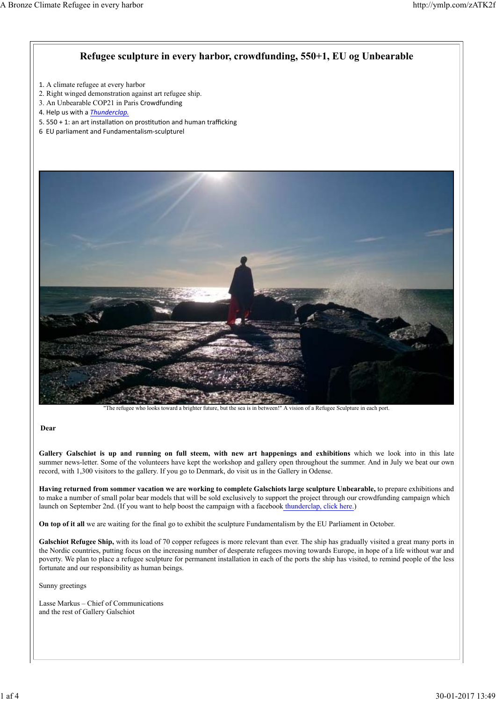#### **Refugee sculpture in every harbor, crowdfunding, 550+1, EU og Unbearable**

- 1. A climate refugee at every harbor
- 2. Right winged demonstration against art refugee ship.
- 3. An Unbearable COP21 in Paris Crowdfunding
- 4. Help us with a *Thunderclap.*
- 5. 550 + 1: an art installation on prostitution and human trafficking
- 6 EU parliament and Fundamentalism‐sculpturel



"The refugee who looks toward a brighter future, but the sea is in between!" A vision of a Refugee Sculpture in each port.

#### **Dear**

Gallery Galschiøt is up and running on full steem, with new art happenings and exhibitions which we look into in this late summer news-letter. Some of the volunteers have kept the workshop and gallery open throughout the summer. And in July we beat our own record, with 1,300 visitors to the gallery. If you go to Denmark, do visit us in the Gallery in Odense.

**Having returned from sommer vacation we are working to complete Galschiots large sculpture Unbearable,** to prepare exhibitions and to make a number of small polar bear models that will be sold exclusively to support the project through our crowdfunding campaign which launch on September 2nd. (If you want to help boost the campaign with a facebook thunderclap, click here.)

**On top of it all** we are waiting for the final go to exhibit the sculpture Fundamentalism by the EU Parliament in October.

Galschiot Refugee Ship, with its load of 70 copper refugees is more relevant than ever. The ship has gradually visited a great many ports in the Nordic countries, putting focus on the increasing number of desperate refugees moving towards Europe, in hope of a life without war and poverty. We plan to place a refugee sculpture for permanent installation in each of the ports the ship has visited, to remind people of the less fortunate and our responsibility as human beings.

Sunny greetings

Lasse Markus – Chief of Communications and the rest of Gallery Galschiot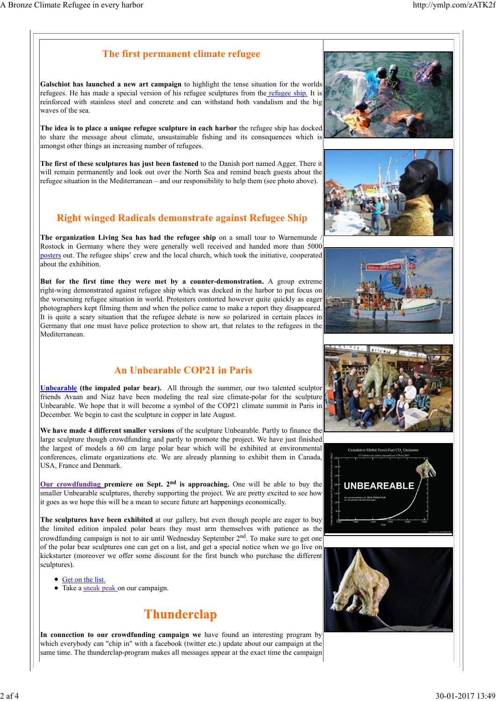#### **The first permanent climate refugee**

**Galschiot has launched a new art campaign** to highlight the tense situation for the worlds refugees. He has made a special version of his refugee sculptures from the refugee ship. It is reinforced with stainless steel and concrete and can withstand both vandalism and the big waves of the sea.

**The idea is to place a unique refugee sculpture in each harbor** the refugee ship has docked to share the message about climate, unsustainable fishing and its consequences which is amongst other things an increasing number of refugees.

**The first of these sculptures has just been fastened** to the Danish port named Agger. There it will remain permanently and look out over the North Sea and remind beach guests about the refugee situation in the Mediterranean – and our responsibility to help them (see photo above).

## **Right winged Radicals demonstrate against Refugee Ship**

**The organization Living Sea has had the refugee ship** on a small tour to Warnemunde / Rostock in Germany where they were generally well received and handed more than 5000 posters out. The refugee ships' crew and the local church, which took the initiative, cooperated about the exhibition.

**But for the first time they were met by a counter-demonstration.** A group extreme right-wing demonstrated against refugee ship which was docked in the harbor to put focus on the worsening refugee situation in world. Protesters contorted however quite quickly as eager photographers kept filming them and when the police came to make a report they disappeared. It is quite a scary situation that the refugee debate is now so polarized in certain places in Germany that one must have police protection to show art, that relates to the refugees in the Mediterranean.

## **An Unbearable COP21 in Paris**

**Unbearable (the impaled polar bear).** All through the summer, our two talented sculptor friends Avaan and Niaz have been modeling the real size climate-polar for the sculpture Unbearable. We hope that it will become a symbol of the COP21 climate summit in Paris in December. We begin to cast the sculpture in copper in late August.

**We have made 4 different smaller versions** of the sculpture Unbearable. Partly to finance the large sculpture though crowdfunding and partly to promote the project. We have just finished the largest of models a 60 cm large polar bear which will be exhibited at environmental conferences, climate organizations etc. We are already planning to exhibit them in Canada, USA, France and Denmark.

**Our crowdfunding premiere on Sept. 2nd is approaching.** One will be able to buy the smaller Unbearable sculptures, thereby supporting the project. We are pretty excited to see how it goes as we hope this will be a mean to secure future art happenings economically.

**The sculptures have been exhibited** at our gallery, but even though people are eager to buy the limited edition impaled polar bears they must arm themselves with patience as the crowdfunding campaign is not to air until Wednesday September 2<sup>nd</sup>. To make sure to get one of the polar bear sculptures one can get on a list, and get a special notice when we go live on kickstarter (moreover we offer some discount for the first bunch who purchase the different sculptures).

- Get on the list.
- Take a sneak peak on our campaign.

# **Thunderclap**

**In connection to our crowdfunding campaign we** have found an interesting program by which everybody can "chip in" with a facebook (twitter etc.) update about our campaign at the same time. The thunderclap-program makes all messages appear at the exact time the campaign











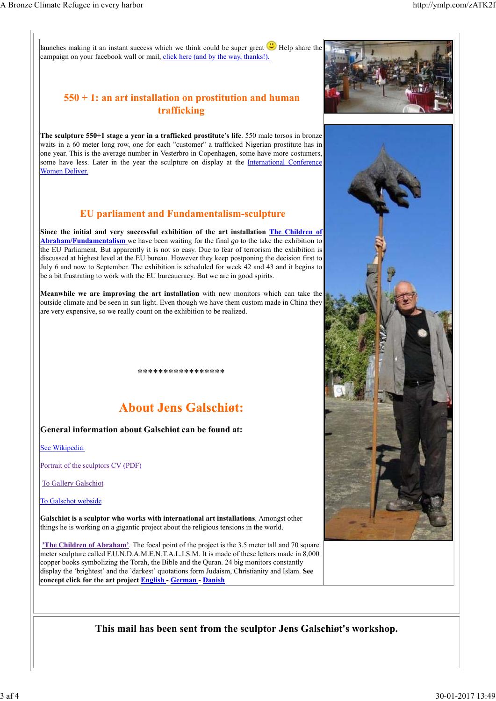launches making it an instant success which we think could be super great  $\bigcup$  Help share the campaign on your facebook wall or mail, click here (and by the way, thanks!).

### **550 + 1: an art installation on prostitution and human trafficking**

**The sculpture 550+1 stage a year in a trafficked prostitute's life**. 550 male torsos in bronze waits in a 60 meter long row, one for each "customer" a trafficked Nigerian prostitute has in one year. This is the average number in Vesterbro in Copenhagen, some have more costumers, some have less. Later in the year the sculpture on display at the International Conference Women Deliver.

### **EU parliament and Fundamentalism-sculpture**

**Since the initial and very successful exhibition of the art installation The Children of Abraham/Fundamentalism** we have been waiting for the final *go* to the take the exhibition to the EU Parliament. But apparently it is not so easy. Due to fear of terrorism the exhibition is discussed at highest level at the EU bureau. However they keep postponing the decision first to July 6 and now to September. The exhibition is scheduled for week 42 and 43 and it begins to be a bit frustrating to work with the EU bureaucracy. But we are in good spirits.

**Meanwhile we are improving the art installation** with new monitors which can take the outside climate and be seen in sun light. Even though we have them custom made in China they are very expensive, so we really count on the exhibition to be realized.

## **About Jens Galschigt:**

\*\*\*\*\*\*\*\*\*\*\*\*\*\*\*\*\*

#### **General information about Galschiøt can be found at:**

See Wikipedia:

Portrait of the sculptors CV (PDF)

To Gallery Galschiot

To Galschot webside

**Galschiøt is a sculptor who works with international art installations**. Amongst other things he is working on a gigantic project about the religious tensions in the world.

**'The Children of Abraham'**. The focal point of the project is the 3.5 meter tall and 70 square meter sculpture called F.U.N.D.A.M.E.N.T.A.L.I.S.M. It is made of these letters made in 8,000 copper books symbolizing the Torah, the Bible and the Quran. 24 big monitors constantly display the 'brightest' and the 'darkest' quotations form Judaism, Christianity and Islam. **See concept click for the art project English - German - Danish**